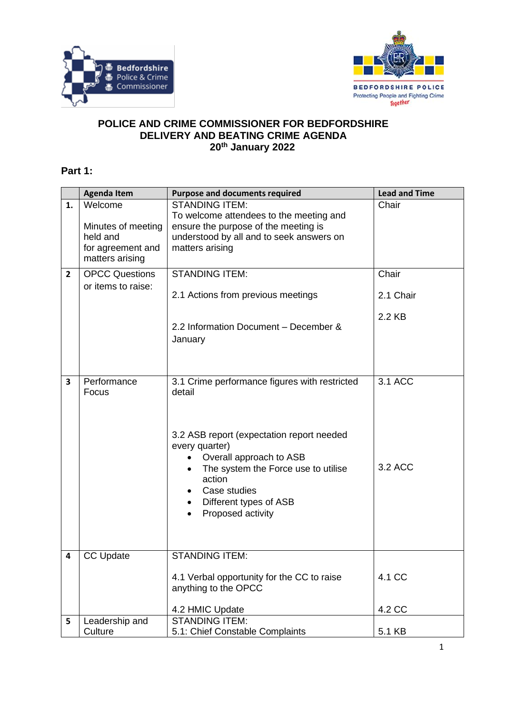



## **POLICE AND CRIME COMMISSIONER FOR BEDFORDSHIRE DELIVERY AND BEATING CRIME AGENDA 20th January 2022**

## **Part 1:**

|                | <b>Agenda Item</b>                                                                | <b>Purpose and documents required</b>                                                                                                                                                                                                                                          | <b>Lead and Time</b> |
|----------------|-----------------------------------------------------------------------------------|--------------------------------------------------------------------------------------------------------------------------------------------------------------------------------------------------------------------------------------------------------------------------------|----------------------|
| 1.             | Welcome<br>Minutes of meeting<br>held and<br>for agreement and<br>matters arising | <b>STANDING ITEM:</b><br>To welcome attendees to the meeting and<br>ensure the purpose of the meeting is<br>understood by all and to seek answers on<br>matters arising                                                                                                        | Chair                |
| $\overline{2}$ | <b>OPCC Questions</b>                                                             | <b>STANDING ITEM:</b>                                                                                                                                                                                                                                                          | Chair                |
|                | or items to raise:                                                                | 2.1 Actions from previous meetings                                                                                                                                                                                                                                             | 2.1 Chair            |
|                |                                                                                   | 2.2 Information Document - December &<br>January                                                                                                                                                                                                                               | 2.2 KB               |
| $\mathbf{3}$   | Performance<br>Focus                                                              | 3.1 Crime performance figures with restricted<br>detail<br>3.2 ASB report (expectation report needed<br>every quarter)<br>Overall approach to ASB<br>The system the Force use to utilise<br>action<br>Case studies<br>Different types of ASB<br>$\bullet$<br>Proposed activity | 3.1 ACC<br>3.2 ACC   |
| 4              | <b>CC Update</b>                                                                  | <b>STANDING ITEM:</b><br>4.1 Verbal opportunity for the CC to raise<br>anything to the OPCC<br>4.2 HMIC Update                                                                                                                                                                 | 4.1 CC<br>4.2 CC     |
| 5              | Leadership and                                                                    | <b>STANDING ITEM:</b>                                                                                                                                                                                                                                                          |                      |
|                | Culture                                                                           | 5.1: Chief Constable Complaints                                                                                                                                                                                                                                                | 5.1 KB               |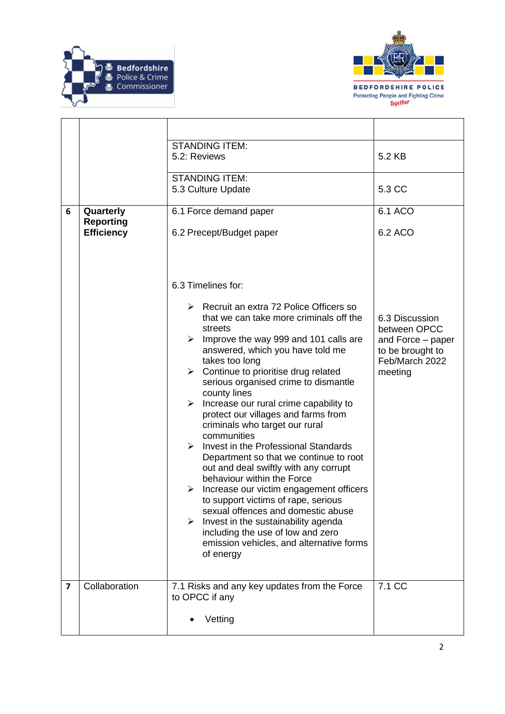



|                         |                                       | <b>STANDING ITEM:</b><br>5.2: Reviews                                                                                                                                                                                                                                                                                                                                                                                                                                                                                                                                                                                                                                                                                                                                                                                                                                                                                               | 5.2 KB                                                                                               |
|-------------------------|---------------------------------------|-------------------------------------------------------------------------------------------------------------------------------------------------------------------------------------------------------------------------------------------------------------------------------------------------------------------------------------------------------------------------------------------------------------------------------------------------------------------------------------------------------------------------------------------------------------------------------------------------------------------------------------------------------------------------------------------------------------------------------------------------------------------------------------------------------------------------------------------------------------------------------------------------------------------------------------|------------------------------------------------------------------------------------------------------|
|                         |                                       | <b>STANDING ITEM:</b><br>5.3 Culture Update                                                                                                                                                                                                                                                                                                                                                                                                                                                                                                                                                                                                                                                                                                                                                                                                                                                                                         | 5.3 CC                                                                                               |
| 6                       | 6.1 Force demand paper<br>Quarterly   |                                                                                                                                                                                                                                                                                                                                                                                                                                                                                                                                                                                                                                                                                                                                                                                                                                                                                                                                     | 6.1 ACO                                                                                              |
|                         | <b>Reporting</b><br><b>Efficiency</b> | 6.2 Precept/Budget paper                                                                                                                                                                                                                                                                                                                                                                                                                                                                                                                                                                                                                                                                                                                                                                                                                                                                                                            | 6.2 ACO                                                                                              |
|                         |                                       | 6.3 Timelines for:<br>$\triangleright$ Recruit an extra 72 Police Officers so<br>that we can take more criminals off the<br>streets<br>Improve the way 999 and 101 calls are<br>➤<br>answered, which you have told me<br>takes too long<br>$\triangleright$ Continue to prioritise drug related<br>serious organised crime to dismantle<br>county lines<br>Increase our rural crime capability to<br>➤<br>protect our villages and farms from<br>criminals who target our rural<br>communities<br>Invest in the Professional Standards<br>➤<br>Department so that we continue to root<br>out and deal swiftly with any corrupt<br>behaviour within the Force<br>Increase our victim engagement officers<br>➤<br>to support victims of rape, serious<br>sexual offences and domestic abuse<br>Invest in the sustainability agenda<br>➤<br>including the use of low and zero<br>emission vehicles, and alternative forms<br>of energy | 6.3 Discussion<br>between OPCC<br>and Force – paper<br>to be brought to<br>Feb/March 2022<br>meeting |
| $\overline{\mathbf{z}}$ | Collaboration                         | 7.1 Risks and any key updates from the Force<br>to OPCC if any<br>Vetting                                                                                                                                                                                                                                                                                                                                                                                                                                                                                                                                                                                                                                                                                                                                                                                                                                                           | 7.1 CC                                                                                               |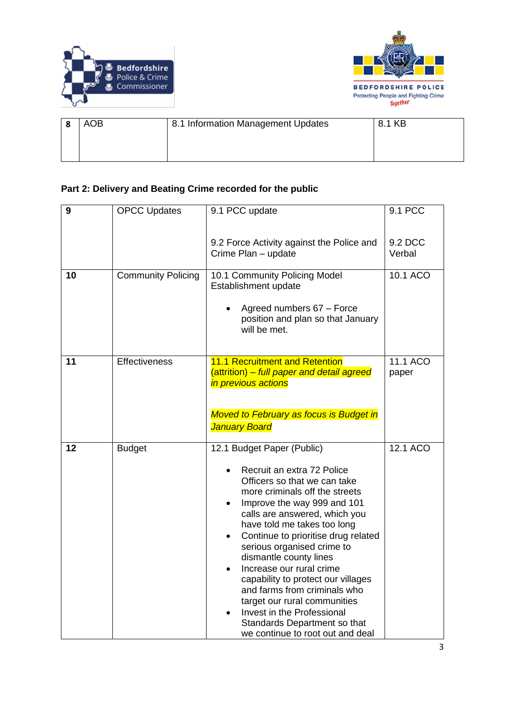



| AOB | 8.1 Information Management Updates | 8.1 KB |
|-----|------------------------------------|--------|
|     |                                    |        |

## **Part 2: Delivery and Beating Crime recorded for the public**

| 9  | <b>OPCC Updates</b>       | 9.1 PCC update                                                                                                                                                                                                                                                                                                                                                                                                                                                                                                                                               | 9.1 PCC           |
|----|---------------------------|--------------------------------------------------------------------------------------------------------------------------------------------------------------------------------------------------------------------------------------------------------------------------------------------------------------------------------------------------------------------------------------------------------------------------------------------------------------------------------------------------------------------------------------------------------------|-------------------|
|    |                           | 9.2 Force Activity against the Police and<br>Crime Plan - update                                                                                                                                                                                                                                                                                                                                                                                                                                                                                             | 9.2 DCC<br>Verbal |
| 10 | <b>Community Policing</b> | 10.1 Community Policing Model<br>Establishment update<br>Agreed numbers 67 - Force<br>position and plan so that January<br>will be met.                                                                                                                                                                                                                                                                                                                                                                                                                      | 10.1 ACO          |
| 11 | Effectiveness             | 11.1 Recruitment and Retention<br>(attrition) – full paper and detail agreed<br>in previous actions<br><b>Moved to February as focus is Budget in</b><br><b>January Board</b>                                                                                                                                                                                                                                                                                                                                                                                | 11.1 ACO<br>paper |
| 12 | <b>Budget</b>             | 12.1 Budget Paper (Public)<br>Recruit an extra 72 Police<br>Officers so that we can take<br>more criminals off the streets<br>Improve the way 999 and 101<br>calls are answered, which you<br>have told me takes too long<br>Continue to prioritise drug related<br>serious organised crime to<br>dismantle county lines<br>Increase our rural crime<br>capability to protect our villages<br>and farms from criminals who<br>target our rural communities<br>Invest in the Professional<br>Standards Department so that<br>we continue to root out and deal | 12.1 ACO          |